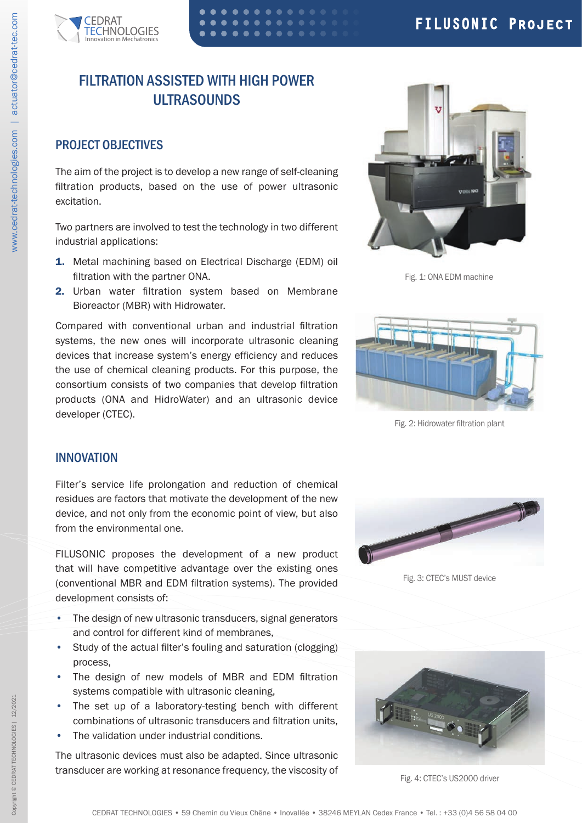

# FILTRATION ASSISTED WITH HIGH POWER ULTRASOUNDS

## PROJECT OBJECTIVES

The aim of the project is to develop a new range of self-cleaning filtration products, based on the use of power ultrasonic excitation.

Two partners are involved to test the technology in two different industrial applications:

- 1. Metal machining based on Electrical Discharge (EDM) oil filtration with the partner ONA.
- 2. Urban water filtration system based on Membrane Bioreactor (MBR) with Hidrowater.

Compared with conventional urban and industrial filtration systems, the new ones will incorporate ultrasonic cleaning devices that increase system's energy efficiency and reduces the use of chemical cleaning products. For this purpose, the consortium consists of two companies that develop filtration products (ONA and HidroWater) and an ultrasonic device developer (CTEC).



Fig. 1: ONA EDM machine



Fig. 2: Hidrowater filtration plant

#### INNOVATION

Filter's service life prolongation and reduction of chemical residues are factors that motivate the development of the new device, and not only from the economic point of view, but also from the environmental one.

FILUSONIC proposes the development of a new product that will have competitive advantage over the existing ones (conventional MBR and EDM filtration systems). The provided development consists of:

- The design of new ultrasonic transducers, signal generators and control for different kind of membranes,
- Study of the actual filter's fouling and saturation (clogging) process,
- The design of new models of MBR and EDM filtration systems compatible with ultrasonic cleaning,
- The set up of a laboratory-testing bench with different combinations of ultrasonic transducers and filtration units,
- The validation under industrial conditions.

The ultrasonic devices must also be adapted. Since ultrasonic transducer are working at resonance frequency, the viscosity of



Fig. 3: CTEC's MUST device



Fig. 4: CTEC's US2000 driver

12/2021